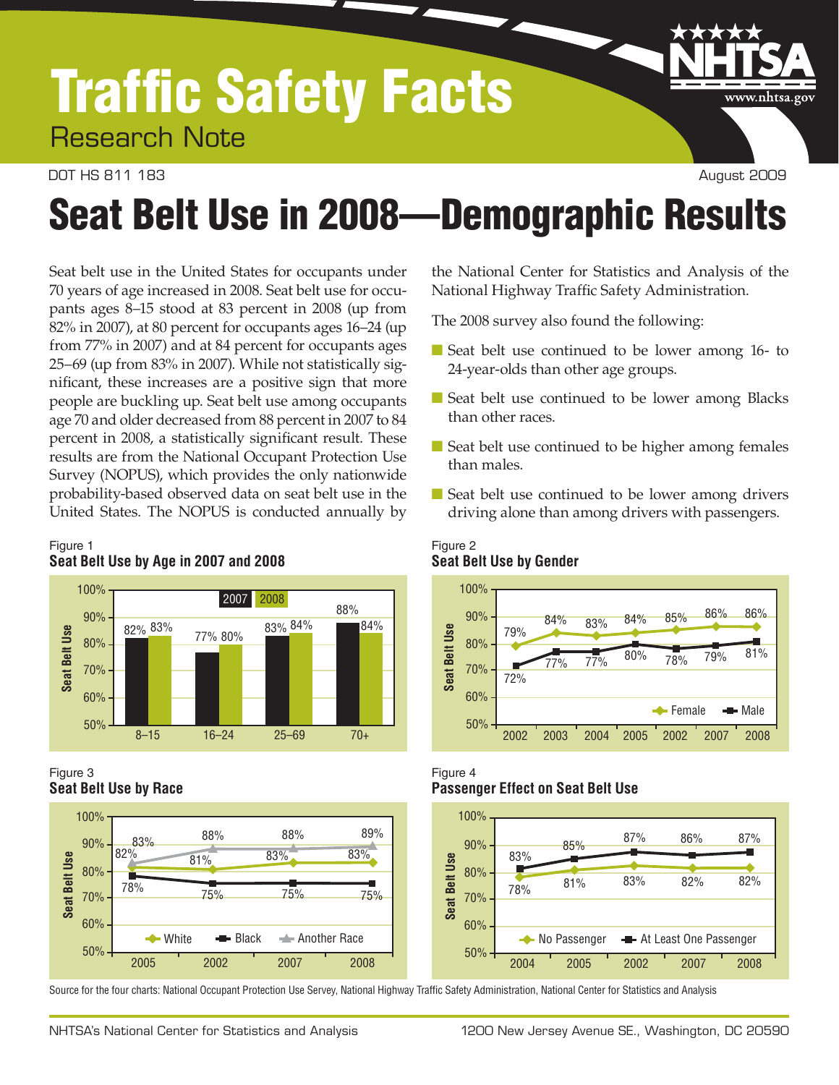## Traffic Safety Facts Research Note

#### DOT HS 811 183 August 2009

www.nhtsa.gov

# Seat Belt Use in 2008—Demographic Results

 Seat belt use in the United States for occupants under 70 years of age increased in 2008. Seat belt use for occu- pants ages 8–15 stood at 83 percent in 2008 (up from nificant, these increases are a positive sign that more people are buckling up. Seat belt use among occupants probability-based observed data on seat belt use in the United States. The NOPUS is conducted annually by 82% in 2007), at 80 percent for occupants ages 16–24 (up from 77% in 2007) and at 84 percent for occupants ages 25–69 (up from 83% in 2007). While not statistically sigage 70 and older decreased from 88 percent in 2007 to 84 percent in 2008, a statistically significant result. These results are from the National Occupant Protection Use Survey (NOPUS), which provides the only nationwide

#### Figure 1 **Seat Belt Use by Age in 2007 and 2008**



#### Figure 3 **Seat Belt Use by Race**



Source for the four charts: National Occupant Protection Use Servey, National Highway Traffic Safety Administration, National Center for Statistics and Analysis

the National Center for Statistics and Analysis of the National Highway Traffic Safety Administration.

The 2008 survey also found the following:

- Seat belt use continued to be lower among 16- to 24-year-olds than other age groups.
- Seat belt use continued to be lower among Blacks than other races.
- Seat belt use continued to be higher among females than males.
- Seat belt use continued to be lower among drivers driving alone than among drivers with passengers.

#### Figure 2 **Seat Belt Use by Gender**



#### Figure 4 **Passenger Effect on Seat Belt Use**

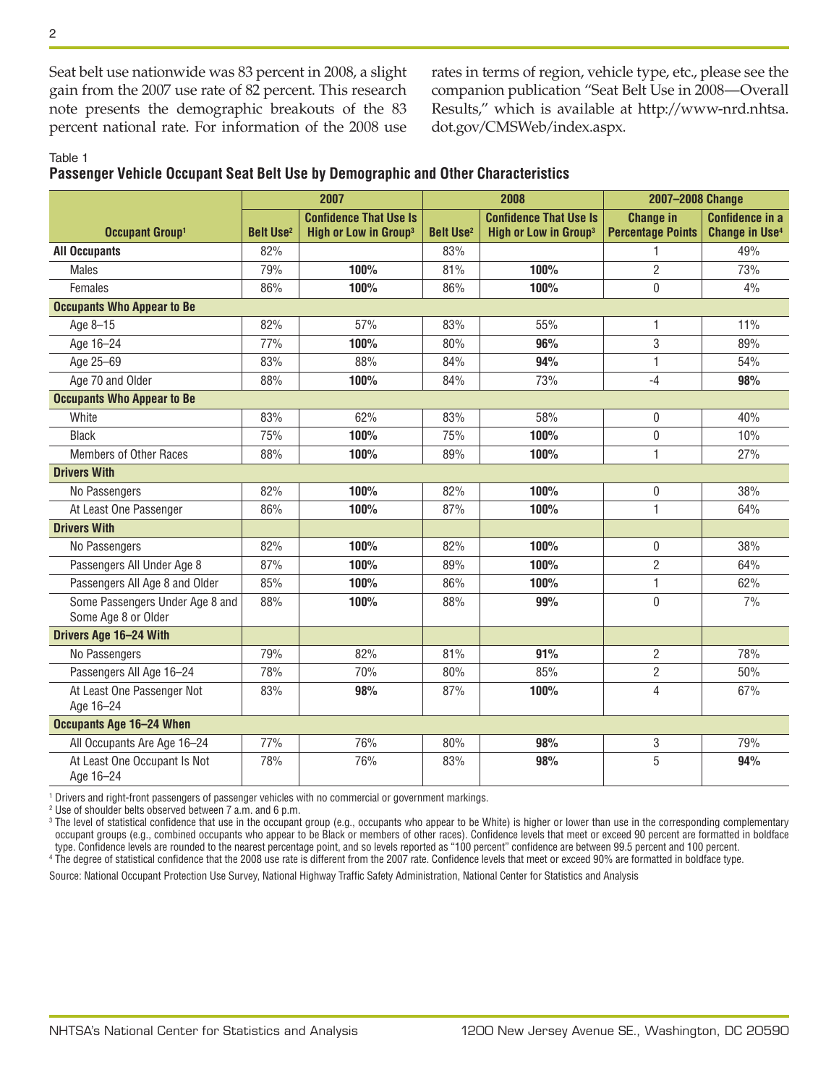Seat belt use nationwide was 83 percent in 2008, a slight gain from the 2007 use rate of 82 percent. This research note presents the demographic breakouts of the 83 percent national rate. For information of the 2008 use rates in terms of region, vehicle type, etc., please see the companion publication "Seat Belt Use in 2008—Overall Results," which is available at [http://www-nrd.nhtsa.](http://www-nrd.nhtsa.dot.gov/CMSWeb/index.aspx) [dot.gov/CMSWeb/index.aspx](http://www-nrd.nhtsa.dot.gov/CMSWeb/index.aspx).

#### Table 1

**Passenger Vehicle Occupant Seat Belt Use by Demographic and Other Characteristics** 

|                                                        |                             | 2007                                                               | 2008                        |                                                                    | 2007-2008 Change                             |                                                            |
|--------------------------------------------------------|-----------------------------|--------------------------------------------------------------------|-----------------------------|--------------------------------------------------------------------|----------------------------------------------|------------------------------------------------------------|
| Occupant Group <sup>1</sup>                            | <b>Belt Use<sup>2</sup></b> | <b>Confidence That Use Is</b><br>High or Low in Group <sup>3</sup> | <b>Belt Use<sup>2</sup></b> | <b>Confidence That Use Is</b><br>High or Low in Group <sup>3</sup> | <b>Change in</b><br><b>Percentage Points</b> | <b>Confidence in a</b><br><b>Change in Use<sup>4</sup></b> |
| <b>All Occupants</b>                                   | 82%                         |                                                                    | 83%                         |                                                                    |                                              | 49%                                                        |
| <b>Males</b>                                           | 79%                         | 100%                                                               | 81%                         | 100%                                                               | $\overline{2}$                               | 73%                                                        |
| Females                                                | 86%                         | 100%                                                               | 86%                         | 100%                                                               | 0                                            | 4%                                                         |
| <b>Occupants Who Appear to Be</b>                      |                             |                                                                    |                             |                                                                    |                                              |                                                            |
| Age 8-15                                               | 82%                         | 57%                                                                | 83%                         | 55%                                                                | 1                                            | 11%                                                        |
| Age 16-24                                              | 77%                         | 100%                                                               | 80%                         | 96%                                                                | 3                                            | 89%                                                        |
| Age 25-69                                              | 83%                         | 88%                                                                | 84%                         | 94%                                                                | 1                                            | 54%                                                        |
| Age 70 and Older                                       | 88%                         | 100%                                                               | 84%                         | 73%                                                                | $-4$                                         | 98%                                                        |
| <b>Occupants Who Appear to Be</b>                      |                             |                                                                    |                             |                                                                    |                                              |                                                            |
| White                                                  | 83%                         | 62%                                                                | 83%                         | 58%                                                                | 0                                            | 40%                                                        |
| <b>Black</b>                                           | 75%                         | 100%                                                               | 75%                         | 100%                                                               | 0                                            | 10%                                                        |
| <b>Members of Other Races</b>                          | 88%                         | 100%                                                               | 89%                         | 100%                                                               | 1                                            | 27%                                                        |
| <b>Drivers With</b>                                    |                             |                                                                    |                             |                                                                    |                                              |                                                            |
| No Passengers                                          | 82%                         | 100%                                                               | 82%                         | 100%                                                               | 0                                            | 38%                                                        |
| At Least One Passenger                                 | 86%                         | 100%                                                               | 87%                         | 100%                                                               | 1                                            | 64%                                                        |
| <b>Drivers With</b>                                    |                             |                                                                    |                             |                                                                    |                                              |                                                            |
| No Passengers                                          | 82%                         | 100%                                                               | 82%                         | 100%                                                               | 0                                            | 38%                                                        |
| Passengers All Under Age 8                             | 87%                         | 100%                                                               | 89%                         | 100%                                                               | $\overline{2}$                               | 64%                                                        |
| Passengers All Age 8 and Older                         | 85%                         | 100%                                                               | 86%                         | 100%                                                               | 1                                            | 62%                                                        |
| Some Passengers Under Age 8 and<br>Some Age 8 or Older | 88%                         | 100%                                                               | 88%                         | 99%                                                                | 0                                            | 7%                                                         |
| Drivers Age 16-24 With                                 |                             |                                                                    |                             |                                                                    |                                              |                                                            |
| No Passengers                                          | 79%                         | 82%                                                                | 81%                         | 91%                                                                | $\overline{2}$                               | 78%                                                        |
| Passengers All Age 16-24                               | 78%                         | 70%                                                                | 80%                         | 85%                                                                | $\overline{2}$                               | 50%                                                        |
| At Least One Passenger Not<br>Age 16-24                | 83%                         | 98%                                                                | 87%                         | 100%                                                               | 4                                            | 67%                                                        |
| <b>Occupants Age 16-24 When</b>                        |                             |                                                                    |                             |                                                                    |                                              |                                                            |
| All Occupants Are Age 16-24                            | 77%                         | 76%                                                                | 80%                         | 98%                                                                | 3                                            | 79%                                                        |
| At Least One Occupant Is Not<br>Age 16-24              | 78%                         | 76%                                                                | 83%                         | 98%                                                                | 5                                            | 94%                                                        |

1 Drivers and right-front passengers of passenger vehicles with no commercial or government markings.

2 Use of shoulder belts observed between 7 a.m. and 6 p.m.

I occupant groups (e.g., combined occupants who appear to be Black or members of other races). Confidence levels that meet or exceed 90 percent are formatted in boldface  $^{\rm 3}$  The level of statistical confidence that use in the occupant group (e.g., occupants who appear to be White) is higher or lower than use in the corresponding complementary type. Confidence levels are rounded to the nearest percentage point, and so levels reported as "100 percent" confidence are between 99.5 percent and 100 percent. 4 The degree of statistical confidence that the 2008 use rate is different from the 2007 rate. Confidence levels that meet or exceed 90% are formatted in boldface type.

Source: National Occupant Protection Use Survey, National Highway Traffic Safety Administration, National Center for Statistics and Analysis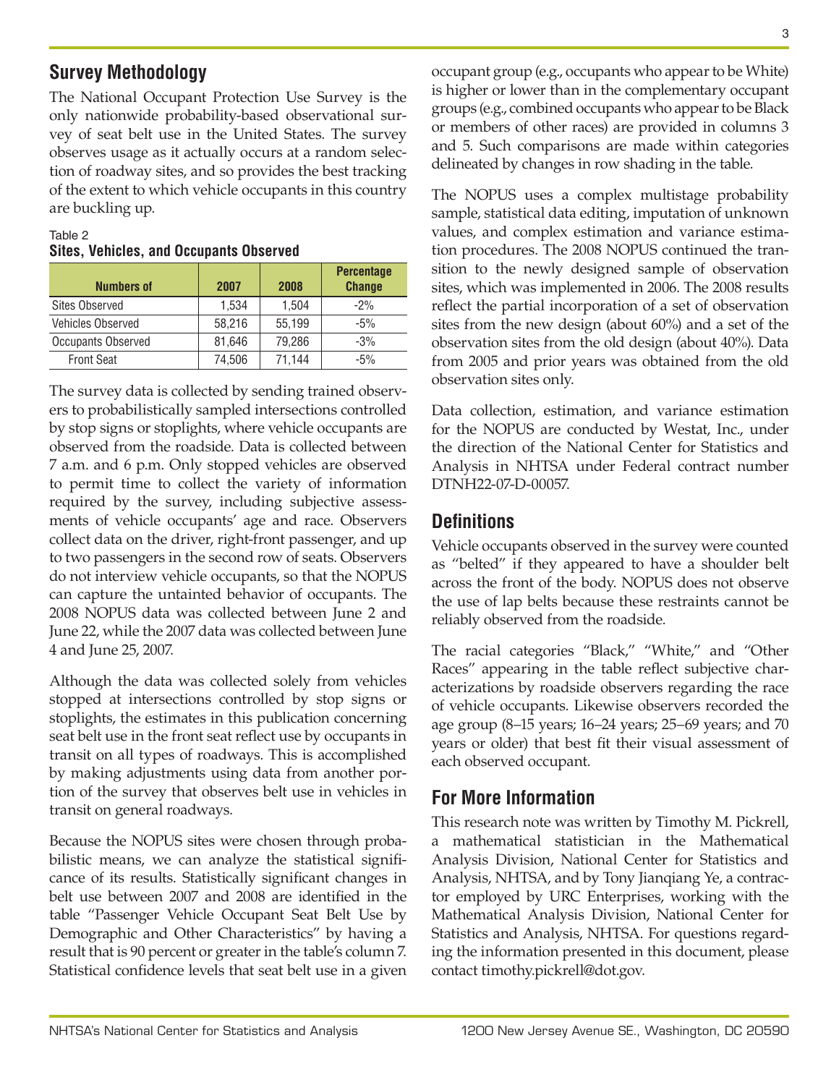### **Survey Methodology**

 The National Occupant Protection Use Survey is the vey of seat belt use in the United States. The survey only nationwide probability-based observational surobserves usage as it actually occurs at a random selection of roadway sites, and so provides the best tracking of the extent to which vehicle occupants in this country are buckling up.

#### Table 2 **Sites, Vehicles, and Occupants Observed**

| <b>Numbers of</b>        | 2007   | 2008   | <b>Percentage</b><br><b>Change</b> |
|--------------------------|--------|--------|------------------------------------|
| <b>Sites Observed</b>    | 1,534  | 1,504  | $-2%$                              |
| <b>Vehicles Observed</b> | 58.216 | 55,199 | $-5%$                              |
| Occupants Observed       | 81,646 | 79,286 | $-3%$                              |
| <b>Front Seat</b>        | 74,506 | 71.144 | $-5%$                              |

 observed from the roadside. Data is collected between to permit time to collect the variety of information collect data on the driver, right-front passenger, and up 2008 NOPUS data was collected between June 2 and The survey data is collected by sending trained observers to probabilistically sampled intersections controlled by stop signs or stoplights, where vehicle occupants are 7 a.m. and 6 p.m. Only stopped vehicles are observed required by the survey, including subjective assessments of vehicle occupants' age and race. Observers to two passengers in the second row of seats. Observers do not interview vehicle occupants, so that the NOPUS can capture the untainted behavior of occupants. The June 22, while the 2007 data was collected between June 4 and June 25, 2007.

 stopped at intersections controlled by stop signs or transit on all types of roadways. This is accomplished Although the data was collected solely from vehicles stoplights, the estimates in this publication concerning seat belt use in the front seat reflect use by occupants in by making adjustments using data from another portion of the survey that observes belt use in vehicles in transit on general roadways.

 belt use between 2007 and 2008 are identified in the table "Passenger Vehicle Occupant Seat Belt Use by result that is 90 percent or greater in the table's column 7. Because the NOPUS sites were chosen through probabilistic means, we can analyze the statistical significance of its results. Statistically significant changes in Demographic and Other Characteristics" by having a Statistical confidence levels that seat belt use in a given

 is higher or lower than in the complementary occupant delineated by changes in row shading in the table. occupant group (e.g., occupants who appear to be White) groups (e.g., combined occupants who appear to be Black or members of other races) are provided in columns 3 and 5. Such comparisons are made within categories

 The NOPUS uses a complex multistage probability sition to the newly designed sample of observation observation sites only. sample, statistical data editing, imputation of unknown values, and complex estimation and variance estimation procedures. The 2008 NOPUS continued the transites, which was implemented in 2006. The 2008 results reflect the partial incorporation of a set of observation sites from the new design (about 60%) and a set of the observation sites from the old design (about 40%). Data from 2005 and prior years was obtained from the old

 Data collection, estimation, and variance estimation for the NOPUS are conducted by Westat, Inc., under the direction of the National Center for Statistics and Analysis in NHTSA under Federal contract number DTNH22-07-D-00057.

### **Definitions**

 as "belted" if they appeared to have a shoulder belt across the front of the body. NOPUS does not observe reliably observed from the roadside. Vehicle occupants observed in the survey were counted the use of lap belts because these restraints cannot be

 The racial categories "Black," "White," and "Other acterizations by roadside observers regarding the race of vehicle occupants. Likewise observers recorded the each observed occupant. Races" appearing in the table reflect subjective charage group (8–15 years; 16–24 years; 25–69 years; and 70 years or older) that best fit their visual assessment of

## **For More Information**

 a mathematical statistician in the Mathematical Analysis Division, National Center for Statistics and tor employed by URC Enterprises, working with the Mathematical Analysis Division, National Center for This research note was written by Timothy M. Pickrell, Analysis, NHTSA, and by Tony Jianqiang Ye, a contrac-Statistics and Analysis, NHTSA. For questions regarding the information presented in this document, please contact [timothy.pickrell@dot.gov.](mailto:timothy.pickrell@dot.gov.)